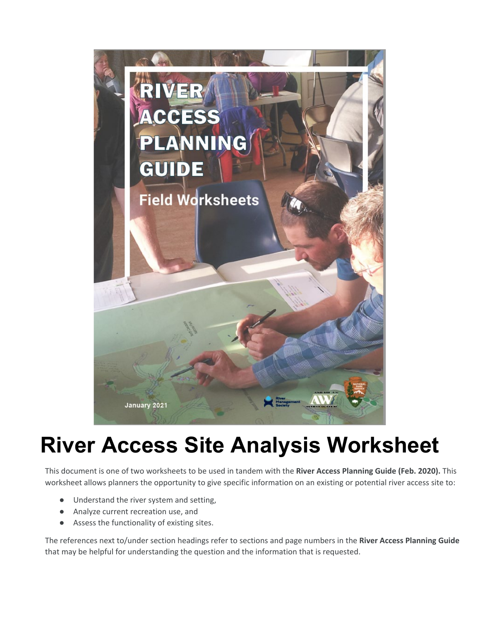

# **River Access Site Analysis Worksheet**

 This document is one of two worksheets to be used in tandem with the **River Access Planning Guide (Feb. 2020).** This worksheet allows planners the opportunity to give specific information on an existing or potential river access site to:

- Understand the river system and setting,
- Analyze current recreation use, and
- Assess the functionality of existing sites.

The references next to/under section headings refer to sections and page numbers in the **River Access Planning Guide**  that may be helpful for understanding the question and the information that is requested.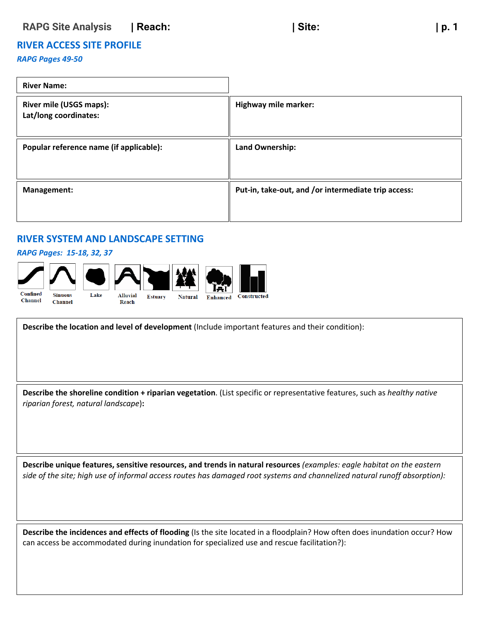## **RIVER ACCESS SITE PROFILE**

#### *RAPG Pages 49-50*

| <b>River Name:</b>                                      |                                                     |
|---------------------------------------------------------|-----------------------------------------------------|
| <b>River mile (USGS maps):</b><br>Lat/long coordinates: | Highway mile marker:                                |
| Popular reference name (if applicable):                 | Land Ownership:                                     |
| Management:                                             | Put-in, take-out, and /or intermediate trip access: |

## **RIVER SYSTEM AND LANDSCAPE SETTING**

#### *RAPG Pages: 15-18, 32, 37*



 **Describe the location and level of development** (Include important features and their condition):

 **Describe the shoreline condition + riparian vegetation**. (List specific or representative features, such as *healthy native riparian forest, natural landscape*)**:** 

 **Describe unique features, sensitive resources, and trends in natural resources** *(examples: eagle habitat on the eastern side of the site; high use of informal access routes has damaged root systems and channelized natural runoff absorption):* 

**Describe the incidences and effects of flooding** (Is the site located in a floodplain? How often does inundation occur? How can access be accommodated during inundation for specialized use and rescue facilitation?):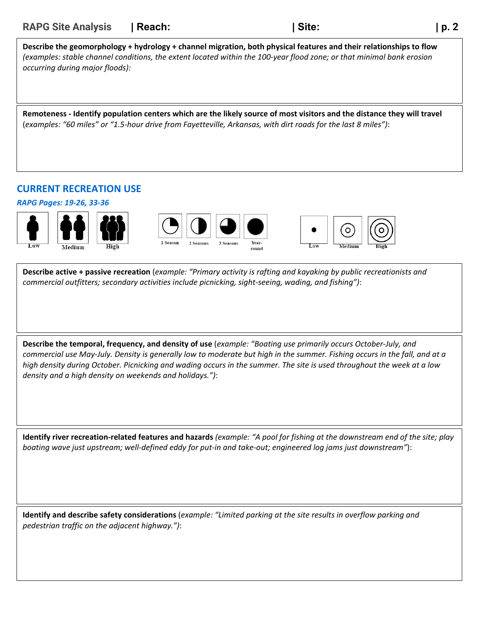| <b>RAPG Site Analysis</b>       | <b>Reach:</b> | Site:                                                                                                                                                                                                                                       | p. 2 |
|---------------------------------|---------------|---------------------------------------------------------------------------------------------------------------------------------------------------------------------------------------------------------------------------------------------|------|
| occurring during major floods): |               | Describe the geomorphology + hydrology + channel migration, both physical features and their relationships to flow<br>(examples: stable channel conditions, the extent located within the 100-year flood zone; or that minimal bank erosion |      |
|                                 |               | Remoteness - Identify population centers which are the likely source of most visitors and the distance they will travel<br>(examples: "60 miles" or "1.5-hour drive from Fayetteville, Arkansas, with dirt roads for the last 8 miles"):    |      |

## **CURRENT RECREATION USE**

*RAPG Pages: 19-26, 33-36* 



**Describe active + passive recreation** (*example: "Primary activity is rafting and kayaking by public recreationists and commercial outfitters; secondary activities include picnicking, sight-seeing, wading, and fishing")*:

 *commercial use May-July. Density is generally low to moderate but high in the summer. Fishing occurs in the fall, and at a high density during October. Picnicking and wading occurs in the summer. The site is used throughout the week at a low*  **Describe the temporal, frequency, and density of use** (*example: "Boating use primarily occurs October-July, and density and a high density on weekends and holidays.")*:

 **Identify river recreation-related features and hazards** *(example: "A pool for fishing at the downstream end of the site; play boating wave just upstream; well-defined eddy for put-in and take-out; engineered log jams just downstream"*):

**Identify and describe safety considerations** (*example: "Limited parking at the site results in overflow parking and pedestrian traffic on the adjacent highway.")*: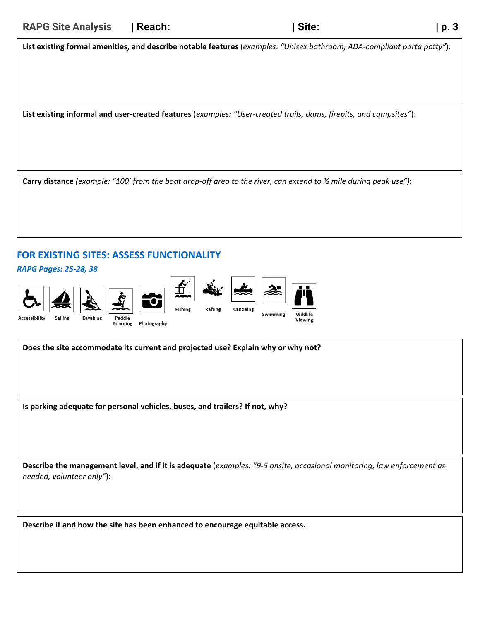**List existing formal amenities, and describe notable features** (*examples: "Unisex bathroom, ADA-compliant porta potty"*):

**List existing informal and user-created features** (*examples: "User-created trails, dams, firepits, and campsites"*):

**Carry distance** *(example: "100' from the boat drop-off area to the river, can extend to ½ mile during peak use")*:

## **FOR EXISTING SITES: ASSESS FUNCTIONALITY**

*RAPG Pages: 25-28, 38* 



 **Does the site accommodate its current and projected use? Explain why or why not?** 

**Is parking adequate for personal vehicles, buses, and trailers? If not, why?** 

 **Describe the management level, and if it is adequate** (*examples: "9-5 onsite, occasional monitoring, law enforcement as needed, volunteer only"*):

 **Describe if and how the site has been enhanced to encourage equitable access.**